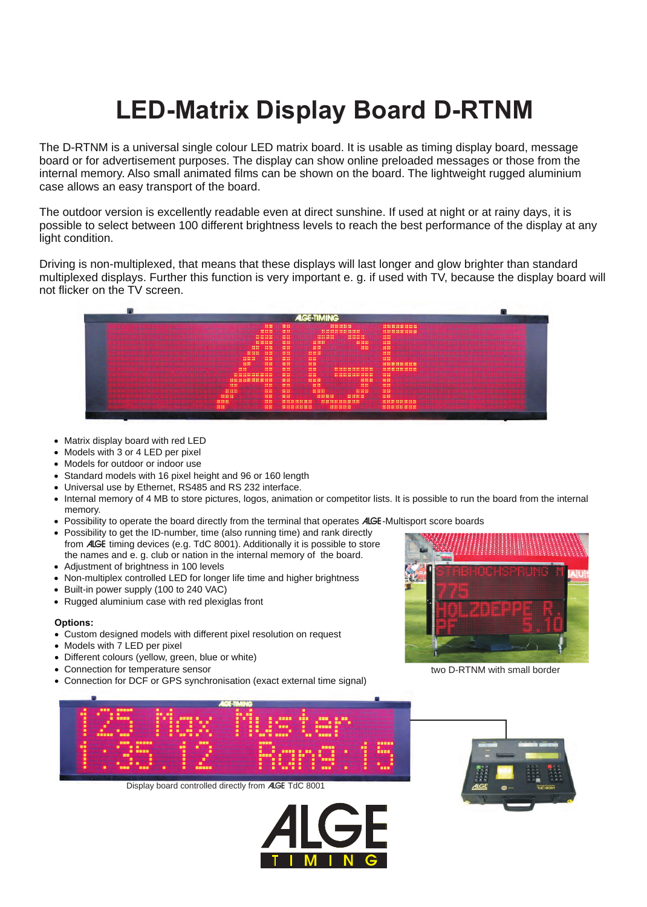## **LED-Matrix Display Board D-RTNM**

The D-RTNM is a universal single colour LED matrix board. It is usable as timing display board, message board or for advertisement purposes. The display can show online preloaded messages or those from the internal memory. Also small animated films can be shown on the board. The lightweight rugged aluminium case allows an easy transport of the board.

The outdoor version is excellently readable even at direct sunshine. If used at night or at rainy days, it is possible to select between 100 different brightness levels to reach the best performance of the display at any light condition.

Driving is non-multiplexed, that means that these displays will last longer and glow brighter than standard multiplexed displays. Further this function is very important e. g. if used with TV, because the display board will not flicker on the TV screen.



- Matrix display board with red LED<br>• Models with 3 or 4 LED per pixel
- 
- Models for outdoor or indoor use
- Standard models with 16 pixel height and 96 or 160 length
- Universal use by Ethernet, RS485 and RS 232 interface.
- ?Universal use by Ethernet, RS485 and RS 232 interface. Internal memory of 4 MB to store pictures, logos, animation or competitor lists. It is possible to run the board from the internal memory.<br>Possibility to operate the board directly from the terminal that operates **AIGE**-Multisport score boards
- Possibility to operate the board directly from the terminal that operates *A*LGE-Multisport score boards<br>● Possibility to get the ID-number, time (also running time) and rank directly
- from ALGE timing devices (e.g. TdC 8001). Additionally it is possible to store the names and e. g. club or nation in the internal memory of the board.
- 
- Adjustment of brightness in 100 levels<br>• Non-multiplex controlled LED for longer<br>• Built-in power supply (100 to 240 VAC) ?Non-multiplex controlled LED for longer life time and higher brightness
- 
- ?Built-in power supply (100 to 240 VAC) Rugged aluminium case with red plexiglas front

## **Options:**

- Custom designed models with different pixel resolution on request<br>• Models with 7 LED per pixel
- 
- Models with 7 LED per pixel<br>● Different colours (yellow, gre
- Different colours (yellow, green, blue or white)<br>● Connection for temperature sensor
- ?Connection for temperature sensor Connection for DCF or GPS synchronisation (exact external time signal)



two D-RTNM with small border



Display board controlled directly from ALGE TdC 8001